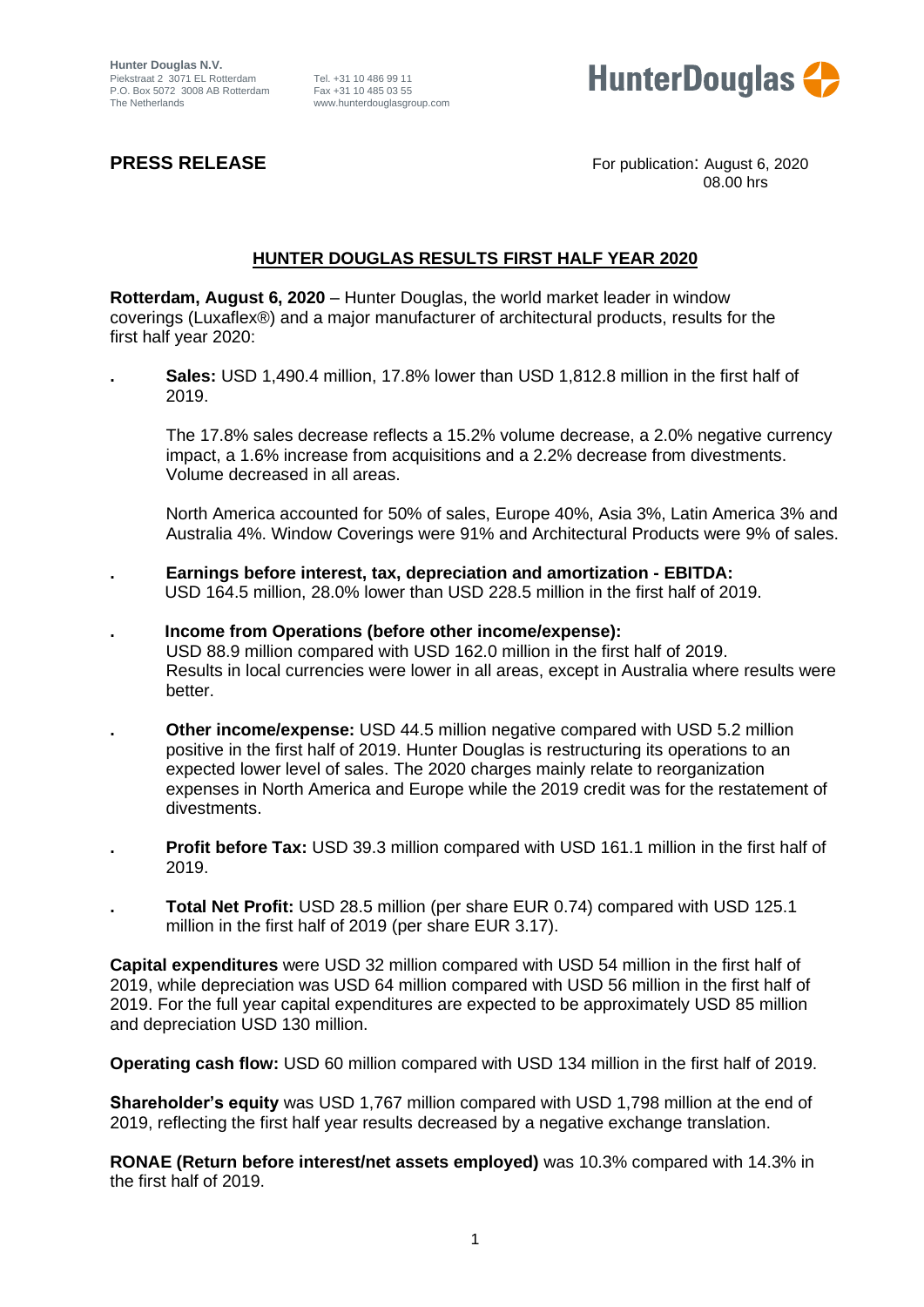

**PRESS RELEASE** For publication: August 6, 2020 08.00 hrs

# **HUNTER DOUGLAS RESULTS FIRST HALF YEAR 2020**

**Rotterdam, August 6, 2020** – Hunter Douglas, the world market leader in window coverings (Luxaflex®) and a major manufacturer of architectural products, results for the first half year 2020:

**. Sales:** USD 1,490.4 million, 17.8% lower than USD 1,812.8 million in the first half of 2019.

The 17.8% sales decrease reflects a 15.2% volume decrease, a 2.0% negative currency impact, a 1.6% increase from acquisitions and a 2.2% decrease from divestments. Volume decreased in all areas.

North America accounted for 50% of sales, Europe 40%, Asia 3%, Latin America 3% and Australia 4%. Window Coverings were 91% and Architectural Products were 9% of sales.

- **. Earnings before interest, tax, depreciation and amortization - EBITDA:** USD 164.5 million, 28.0% lower than USD 228.5 million in the first half of 2019.
- **. Income from Operations (before other income/expense):** USD 88.9 million compared with USD 162.0 million in the first half of 2019. Results in local currencies were lower in all areas, except in Australia where results were better.
- **. Other income/expense:** USD 44.5 million negative compared with USD 5.2 million positive in the first half of 2019. Hunter Douglas is restructuring its operations to an expected lower level of sales. The 2020 charges mainly relate to reorganization expenses in North America and Europe while the 2019 credit was for the restatement of divestments.
- **. Profit before Tax:** USD 39.3 million compared with USD 161.1 million in the first half of 2019.
- **. Total Net Profit:** USD 28.5 million (per share EUR 0.74) compared with USD 125.1 million in the first half of 2019 (per share EUR 3.17).

**Capital expenditures** were USD 32 million compared with USD 54 million in the first half of 2019, while depreciation was USD 64 million compared with USD 56 million in the first half of 2019. For the full year capital expenditures are expected to be approximately USD 85 million and depreciation USD 130 million.

**Operating cash flow:** USD 60 million compared with USD 134 million in the first half of 2019.

**Shareholder's equity** was USD 1,767 million compared with USD 1,798 million at the end of 2019, reflecting the first half year results decreased by a negative exchange translation.

**RONAE (Return before interest/net assets employed)** was 10.3% compared with 14.3% in the first half of 2019.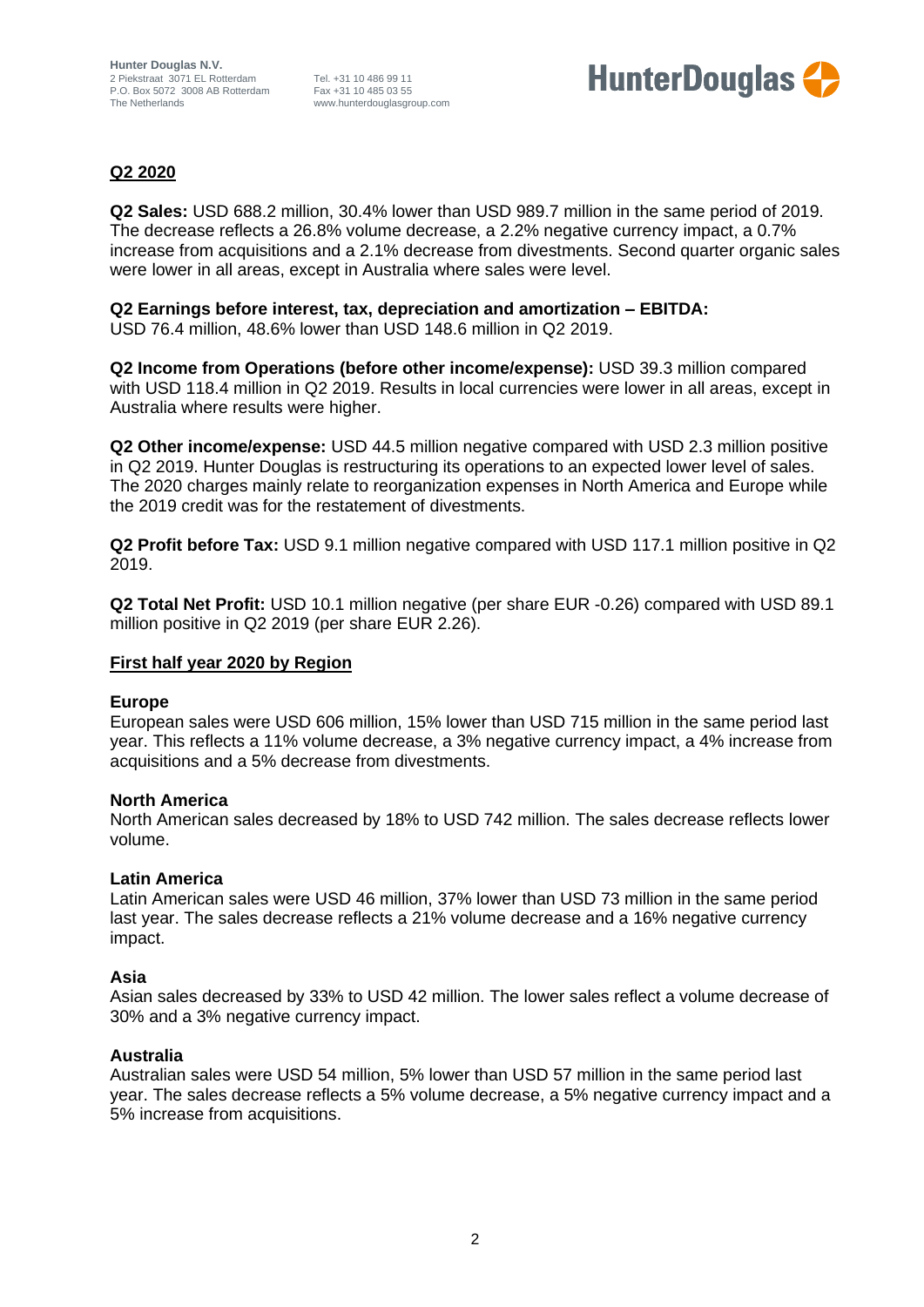

## **Q2 2020**

**Q2 Sales:** USD 688.2 million, 30.4% lower than USD 989.7 million in the same period of 2019. The decrease reflects a 26.8% volume decrease, a 2.2% negative currency impact, a 0.7% increase from acquisitions and a 2.1% decrease from divestments. Second quarter organic sales were lower in all areas, except in Australia where sales were level.

**Q2 Earnings before interest, tax, depreciation and amortization – EBITDA:** USD 76.4 million, 48.6% lower than USD 148.6 million in Q2 2019.

**Q2 Income from Operations (before other income/expense):** USD 39.3 million compared with USD 118.4 million in Q2 2019. Results in local currencies were lower in all areas, except in Australia where results were higher.

**Q2 Other income/expense:** USD 44.5 million negative compared with USD 2.3 million positive in Q2 2019. Hunter Douglas is restructuring its operations to an expected lower level of sales. The 2020 charges mainly relate to reorganization expenses in North America and Europe while the 2019 credit was for the restatement of divestments.

**Q2 Profit before Tax:** USD 9.1 million negative compared with USD 117.1 million positive in Q2 2019.

**Q2 Total Net Profit:** USD 10.1 million negative (per share EUR -0.26) compared with USD 89.1 million positive in Q2 2019 (per share EUR 2.26).

### **First half year 2020 by Region**

#### **Europe**

European sales were USD 606 million, 15% lower than USD 715 million in the same period last year. This reflects a 11% volume decrease, a 3% negative currency impact, a 4% increase from acquisitions and a 5% decrease from divestments.

### **North America**

North American sales decreased by 18% to USD 742 million. The sales decrease reflects lower volume.

### **Latin America**

Latin American sales were USD 46 million, 37% lower than USD 73 million in the same period last year. The sales decrease reflects a 21% volume decrease and a 16% negative currency impact.

### **Asia**

Asian sales decreased by 33% to USD 42 million. The lower sales reflect a volume decrease of 30% and a 3% negative currency impact.

### **Australia**

Australian sales were USD 54 million, 5% lower than USD 57 million in the same period last year. The sales decrease reflects a 5% volume decrease, a 5% negative currency impact and a 5% increase from acquisitions.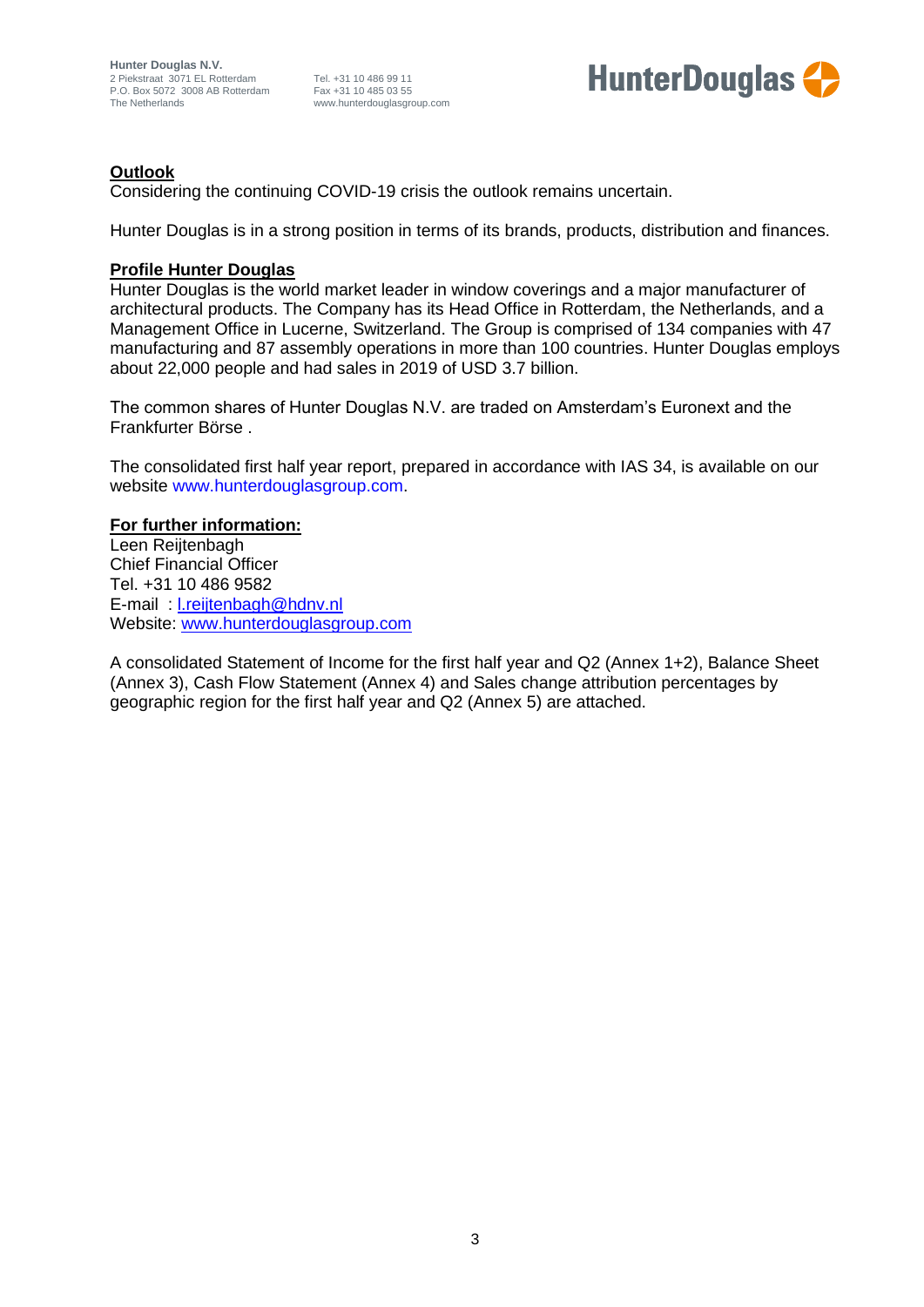

# **Outlook**

Considering the continuing COVID-19 crisis the outlook remains uncertain.

Hunter Douglas is in a strong position in terms of its brands, products, distribution and finances.

### **Profile Hunter Douglas**

Hunter Douglas is the world market leader in window coverings and a major manufacturer of architectural products. The Company has its Head Office in Rotterdam, the Netherlands, and a Management Office in Lucerne, Switzerland. The Group is comprised of 134 companies with 47 manufacturing and 87 assembly operations in more than 100 countries. Hunter Douglas employs about 22,000 people and had sales in 2019 of USD 3.7 billion.

The common shares of Hunter Douglas N.V. are traded on Amsterdam's Euronext and the Frankfurter Börse .

The consolidated first half year report, prepared in accordance with IAS 34, is available on our website www.hunterdouglasgroup.com.

### **For further information:**

Leen Reijtenbagh Chief Financial Officer Tel. +31 10 486 9582 E-mail : [l.reijtenbagh@hdnv.nl](mailto:l.reijtenbagh@hdnv.nl) Website: [www.hunterdouglasgroup.com](http://www.hunterdouglasgroup.com/)

A consolidated Statement of Income for the first half year and Q2 (Annex 1+2), Balance Sheet (Annex 3), Cash Flow Statement (Annex 4) and Sales change attribution percentages by geographic region for the first half year and Q2 (Annex 5) are attached.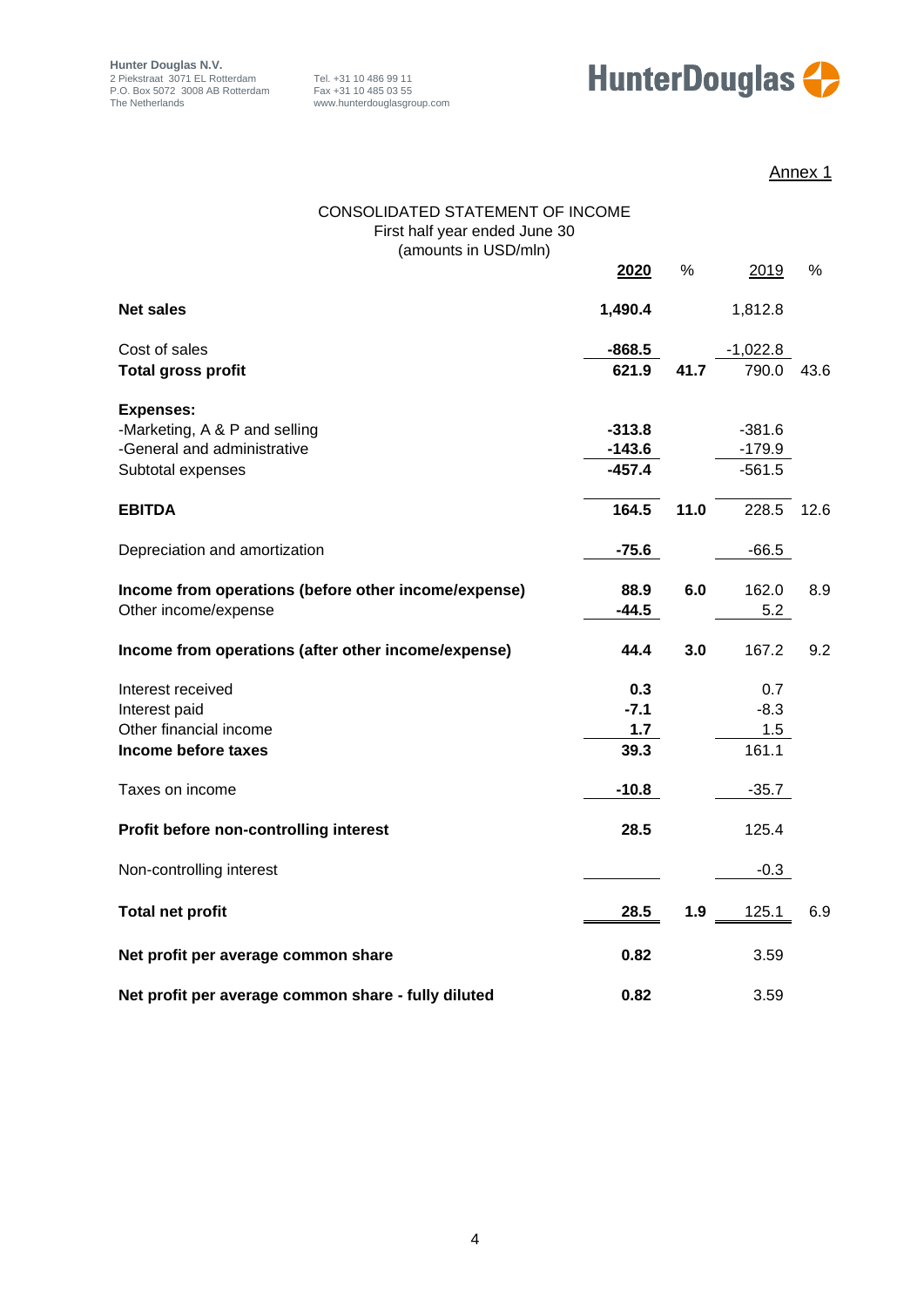

Annex 1

| <b>CONSOLIDATED STATEMENT OF INCOME</b><br>First half year ended June 30 |          |      |            |      |
|--------------------------------------------------------------------------|----------|------|------------|------|
| (amounts in USD/mln)                                                     | 2020     | %    | 2019       | %    |
|                                                                          |          |      |            |      |
| <b>Net sales</b>                                                         | 1,490.4  |      | 1,812.8    |      |
| Cost of sales                                                            | $-868.5$ |      | $-1,022.8$ |      |
| <b>Total gross profit</b>                                                | 621.9    | 41.7 | 790.0      | 43.6 |
| <b>Expenses:</b>                                                         |          |      |            |      |
| -Marketing, A & P and selling                                            | $-313.8$ |      | $-381.6$   |      |
| -General and administrative                                              | $-143.6$ |      | $-179.9$   |      |
| Subtotal expenses                                                        | $-457.4$ |      | $-561.5$   |      |
| <b>EBITDA</b>                                                            | 164.5    | 11.0 | 228.5      | 12.6 |
| Depreciation and amortization                                            | $-75.6$  |      | $-66.5$    |      |
| Income from operations (before other income/expense)                     | 88.9     | 6.0  | 162.0      | 8.9  |
| Other income/expense                                                     | $-44.5$  |      | 5.2        |      |
| Income from operations (after other income/expense)                      | 44.4     | 3.0  | 167.2      | 9.2  |
| Interest received                                                        | 0.3      |      | 0.7        |      |
| Interest paid                                                            | $-7.1$   |      | $-8.3$     |      |
| Other financial income                                                   | 1.7      |      | 1.5        |      |
| Income before taxes                                                      | 39.3     |      | 161.1      |      |
| Taxes on income                                                          | $-10.8$  |      | $-35.7$    |      |
| Profit before non-controlling interest                                   | 28.5     |      | 125.4      |      |
| Non-controlling interest                                                 |          |      | $-0.3$     |      |
| <b>Total net profit</b>                                                  | 28.5     | 1.9  | 125.1      | 6.9  |
| Net profit per average common share                                      | 0.82     |      | 3.59       |      |
| Net profit per average common share - fully diluted                      | 0.82     |      | 3.59       |      |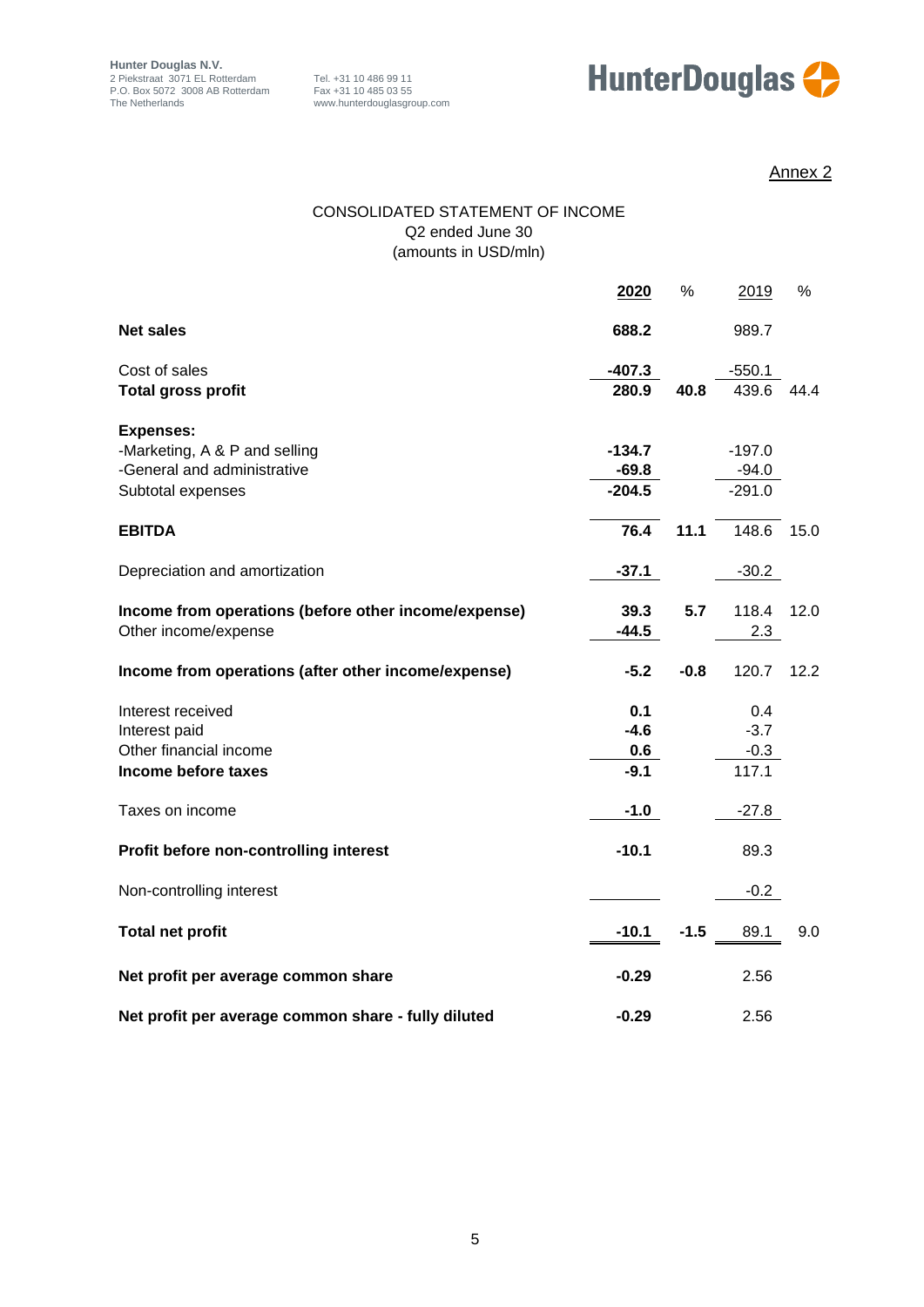

# Annex 2

### CONSOLIDATED STATEMENT OF INCOME Q2 ended June 30 (amounts in USD/mln)

|                                                      | 2020     | %      | 2019     | %    |
|------------------------------------------------------|----------|--------|----------|------|
| <b>Net sales</b>                                     | 688.2    |        | 989.7    |      |
| Cost of sales                                        | $-407.3$ |        | $-550.1$ |      |
| <b>Total gross profit</b>                            | 280.9    | 40.8   | 439.6    | 44.4 |
| <b>Expenses:</b>                                     |          |        |          |      |
| -Marketing, A & P and selling                        | $-134.7$ |        | $-197.0$ |      |
| -General and administrative                          | $-69.8$  |        | $-94.0$  |      |
| Subtotal expenses                                    | $-204.5$ |        | $-291.0$ |      |
| <b>EBITDA</b>                                        | 76.4     | 11.1   | 148.6    | 15.0 |
| Depreciation and amortization                        | $-37.1$  |        | $-30.2$  |      |
| Income from operations (before other income/expense) | 39.3     | 5.7    | 118.4    | 12.0 |
| Other income/expense                                 | $-44.5$  |        | 2.3      |      |
| Income from operations (after other income/expense)  | $-5.2$   | $-0.8$ | 120.7    | 12.2 |
| Interest received                                    | 0.1      |        | 0.4      |      |
| Interest paid                                        | $-4.6$   |        | $-3.7$   |      |
| Other financial income                               | 0.6      |        | $-0.3$   |      |
| Income before taxes                                  | $-9.1$   |        | 117.1    |      |
| Taxes on income                                      | $-1.0$   |        | $-27.8$  |      |
| Profit before non-controlling interest               | $-10.1$  |        | 89.3     |      |
| Non-controlling interest                             |          |        | $-0.2$   |      |
| <b>Total net profit</b>                              | $-10.1$  | $-1.5$ | 89.1     | 9.0  |
| Net profit per average common share                  | $-0.29$  |        | 2.56     |      |
| Net profit per average common share - fully diluted  | $-0.29$  |        | 2.56     |      |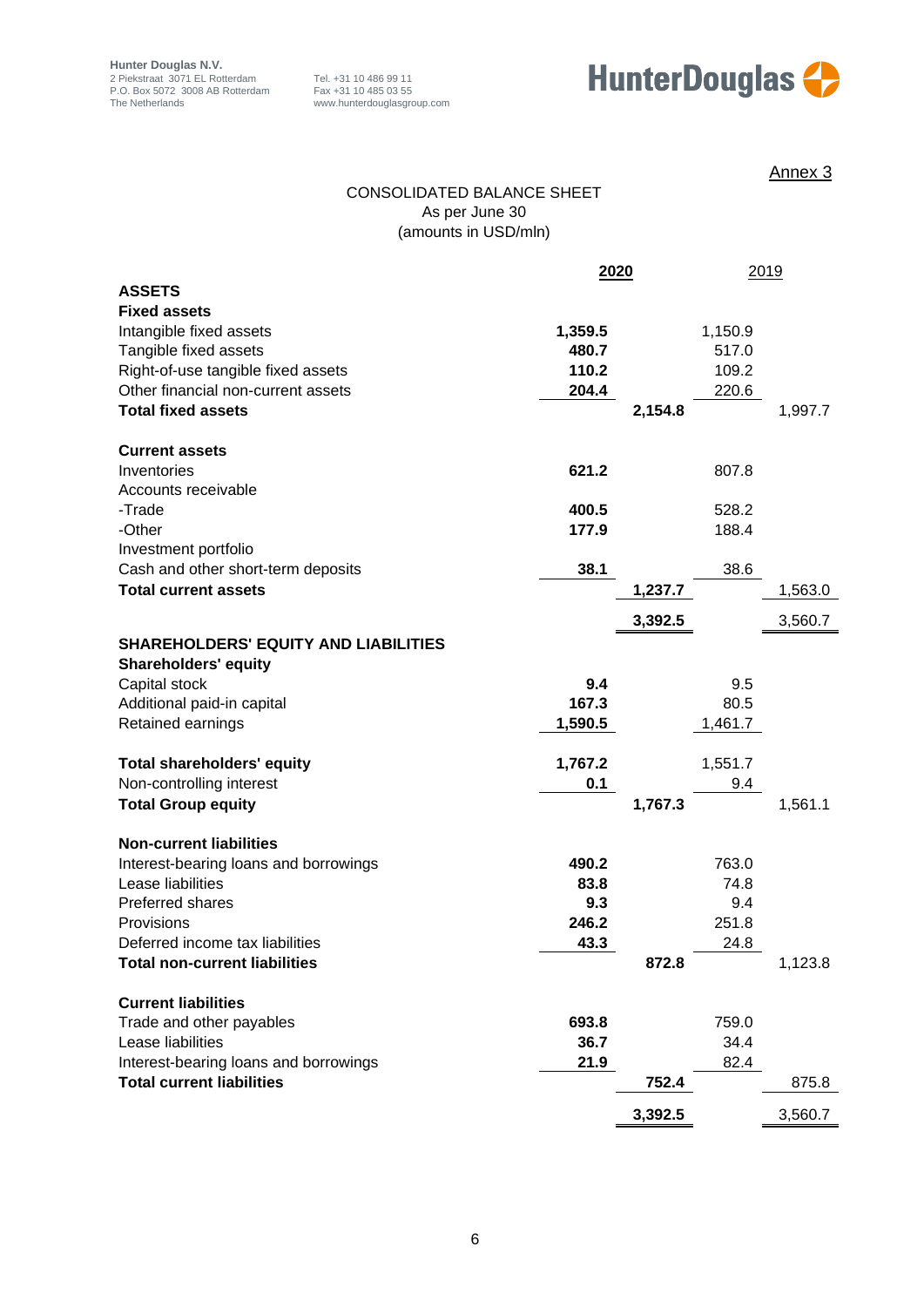



Annex 3

### CONSOLIDATED BALANCE SHEET As per June 30 (amounts in USD/mln)

| <b>ASSETS</b><br><b>Fixed assets</b><br>Intangible fixed assets<br>1,359.5<br>1,150.9 |         |
|---------------------------------------------------------------------------------------|---------|
|                                                                                       |         |
|                                                                                       |         |
|                                                                                       |         |
| Tangible fixed assets<br>480.7<br>517.0                                               |         |
| Right-of-use tangible fixed assets<br>110.2<br>109.2                                  |         |
| Other financial non-current assets<br>204.4<br>220.6                                  |         |
| <b>Total fixed assets</b><br>2,154.8                                                  | 1,997.7 |
| <b>Current assets</b>                                                                 |         |
| 621.2<br>Inventories<br>807.8                                                         |         |
| Accounts receivable                                                                   |         |
| 400.5<br>-Trade<br>528.2                                                              |         |
| -Other<br>177.9<br>188.4                                                              |         |
| Investment portfolio                                                                  |         |
| 38.1<br>38.6<br>Cash and other short-term deposits                                    |         |
| <b>Total current assets</b><br>1,237.7                                                | 1,563.0 |
| 3,392.5                                                                               | 3,560.7 |
| <b>SHAREHOLDERS' EQUITY AND LIABILITIES</b>                                           |         |
| <b>Shareholders' equity</b>                                                           |         |
| 9.4<br>Capital stock<br>9.5                                                           |         |
| 167.3<br>80.5<br>Additional paid-in capital                                           |         |
| Retained earnings<br>1,590.5<br>1,461.7                                               |         |
| 1,767.2<br>1,551.7<br><b>Total shareholders' equity</b>                               |         |
| Non-controlling interest<br>0.1<br>9.4                                                |         |
| 1,767.3<br><b>Total Group equity</b>                                                  | 1,561.1 |
| <b>Non-current liabilities</b>                                                        |         |
| 490.2<br>763.0<br>Interest-bearing loans and borrowings                               |         |
| Lease liabilities<br>83.8<br>74.8                                                     |         |
| 9.3<br>Preferred shares<br>9.4                                                        |         |
| 246.2<br>251.8<br>Provisions                                                          |         |
| 43.3<br>Deferred income tax liabilities<br>24.8                                       |         |
| <b>Total non-current liabilities</b><br>872.8                                         | 1,123.8 |
| <b>Current liabilities</b>                                                            |         |
| Trade and other payables<br>693.8<br>759.0                                            |         |
| Lease liabilities<br>36.7<br>34.4                                                     |         |
| 82.4<br>Interest-bearing loans and borrowings<br>21.9                                 |         |
|                                                                                       | 875.8   |
| <b>Total current liabilities</b><br>752.4                                             |         |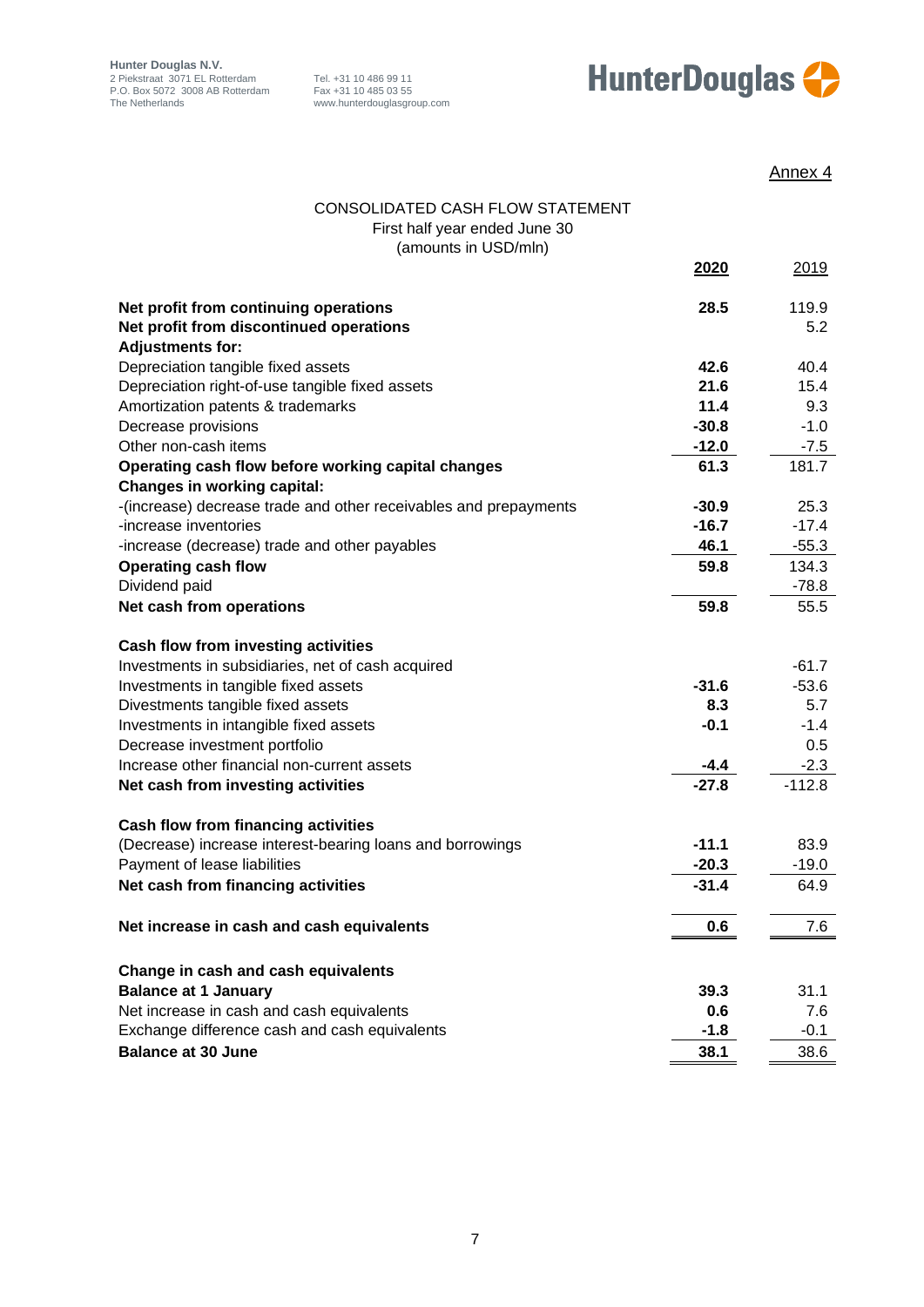



|                                                                         |               | Annex 4       |
|-------------------------------------------------------------------------|---------------|---------------|
| CONSOLIDATED CASH FLOW STATEMENT                                        |               |               |
| First half year ended June 30                                           |               |               |
| (amounts in USD/mln)                                                    |               |               |
|                                                                         | 2020          | 2019          |
|                                                                         |               |               |
| Net profit from continuing operations                                   | 28.5          | 119.9         |
| Net profit from discontinued operations                                 |               | 5.2           |
| <b>Adjustments for:</b>                                                 |               |               |
| Depreciation tangible fixed assets                                      | 42.6          | 40.4          |
| Depreciation right-of-use tangible fixed assets                         | 21.6          | 15.4          |
| Amortization patents & trademarks                                       | 11.4          | 9.3           |
| Decrease provisions                                                     | $-30.8$       | $-1.0$        |
| Other non-cash items                                                    | $-12.0$       | $-7.5$        |
| Operating cash flow before working capital changes                      | 61.3          | 181.7         |
| <b>Changes in working capital:</b>                                      |               |               |
| -(increase) decrease trade and other receivables and prepayments        | $-30.9$       | 25.3          |
| -increase inventories                                                   | $-16.7$       | $-17.4$       |
| -increase (decrease) trade and other payables                           | 46.1          | $-55.3$       |
| <b>Operating cash flow</b>                                              | 59.8          | 134.3         |
| Dividend paid                                                           |               | $-78.8$       |
| Net cash from operations                                                | 59.8          | 55.5          |
|                                                                         |               |               |
| Cash flow from investing activities                                     |               |               |
| Investments in subsidiaries, net of cash acquired                       |               | $-61.7$       |
| Investments in tangible fixed assets                                    | $-31.6$       | $-53.6$       |
| Divestments tangible fixed assets                                       | 8.3<br>$-0.1$ | 5.7<br>$-1.4$ |
| Investments in intangible fixed assets<br>Decrease investment portfolio |               | 0.5           |
| Increase other financial non-current assets                             | -4.4          | $-2.3$        |
| Net cash from investing activities                                      | $-27.8$       | $-112.8$      |
|                                                                         |               |               |
| <b>Cash flow from financing activities</b>                              |               |               |
| (Decrease) increase interest-bearing loans and borrowings               | $-11.1$       | 83.9          |
| Payment of lease liabilities                                            | $-20.3$       | $-19.0$       |
| Net cash from financing activities                                      | $-31.4$       | 64.9          |
|                                                                         |               |               |
| Net increase in cash and cash equivalents                               | 0.6           | 7.6           |
|                                                                         |               |               |
| Change in cash and cash equivalents                                     |               |               |
| <b>Balance at 1 January</b>                                             | 39.3          | 31.1          |
| Net increase in cash and cash equivalents                               | 0.6           | 7.6           |
| Exchange difference cash and cash equivalents                           | $-1.8$        | $-0.1$        |
| <b>Balance at 30 June</b>                                               | 38.1          | 38.6          |
|                                                                         |               |               |